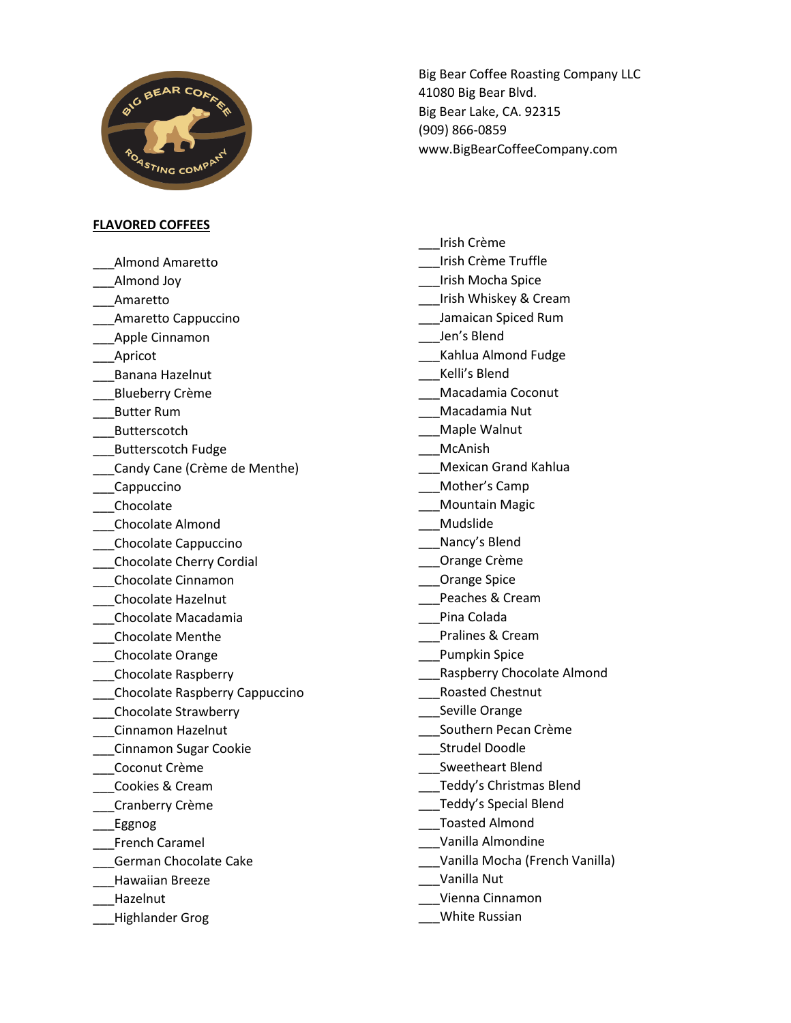

**FLAVORED COFFEES**

\_\_\_Almond Amaretto

- Almond Joy
- \_\_\_Amaretto

\_\_\_Amaretto Cappuccino

- \_\_\_Apple Cinnamon
- \_Apricot
- \_\_\_Banana Hazelnut
- \_\_\_Blueberry Crème
- \_\_\_Butter Rum
- \_\_\_Butterscotch
- \_\_\_Butterscotch Fudge
- \_\_\_Candy Cane (Crème de Menthe)
- \_\_\_Cappuccino
- \_\_\_Chocolate
- \_\_\_Chocolate Almond
- \_\_\_Chocolate Cappuccino
- \_\_\_Chocolate Cherry Cordial
- \_\_\_Chocolate Cinnamon
- \_\_\_Chocolate Hazelnut
- \_\_\_Chocolate Macadamia
- \_\_\_Chocolate Menthe
- \_\_\_Chocolate Orange
- \_\_\_Chocolate Raspberry
- \_\_\_Chocolate Raspberry Cappuccino
- \_\_\_Chocolate Strawberry
- \_\_\_Cinnamon Hazelnut
- \_\_\_Cinnamon Sugar Cookie
- \_\_\_Coconut Crème
- \_\_\_Cookies & Cream
- \_\_\_Cranberry Crème
- \_\_\_Eggnog
- \_\_\_French Caramel
- \_\_\_German Chocolate Cake
- \_\_\_Hawaiian Breeze
- \_\_\_Hazelnut
- \_\_\_Highlander Grog

Big Bear Coffee Roasting Company LLC 41080 Big Bear Blvd. Big Bear Lake, CA. 92315 (909) 866-0859 www.BigBearCoffeeCompany.com

- \_\_\_Irish Crème \_\_\_Irish Crème Truffle \_\_\_Irish Mocha Spice \_\_\_Irish Whiskey & Cream \_\_\_Jamaican Spiced Rum \_\_\_Jen's Blend \_\_\_Kahlua Almond Fudge \_\_\_Kelli's Blend \_\_\_Macadamia Coconut \_\_\_Macadamia Nut Maple Walnut \_\_\_McAnish \_\_\_Mexican Grand Kahlua \_\_\_Mother's Camp \_\_\_Mountain Magic \_\_\_Mudslide \_\_\_Nancy's Blend \_\_\_Orange Crème \_\_\_Orange Spice Peaches & Cream \_\_\_Pina Colada \_\_\_Pralines & Cream \_\_\_Pumpkin Spice \_\_\_Raspberry Chocolate Almond \_\_\_Roasted Chestnut \_\_\_Seville Orange \_\_\_Southern Pecan Crème \_\_\_Strudel Doodle \_\_\_Sweetheart Blend \_\_\_Teddy's Christmas Blend \_\_\_Teddy's Special Blend \_\_\_Toasted Almond \_\_\_Vanilla Almondine \_\_\_Vanilla Mocha (French Vanilla) \_\_\_Vanilla Nut \_\_\_Vienna Cinnamon
- \_\_\_White Russian